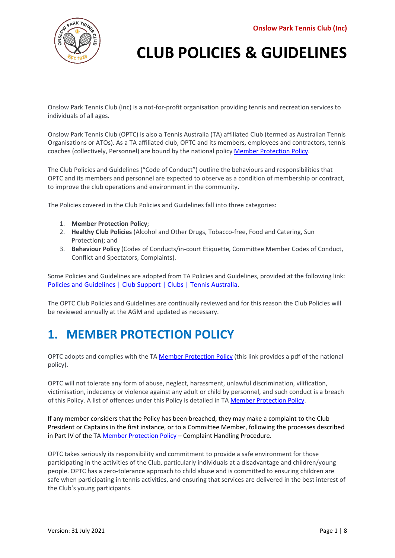

Onslow Park Tennis Club (Inc) is a not-for-profit organisation providing tennis and recreation services to individuals of all ages.

Onslow Park Tennis Club (OPTC) is also a Tennis Australia (TA) affiliated Club (termed as Australian Tennis Organisations or ATOs). As a TA affiliated club, OPTC and its members, employees and contractors, tennis coaches (collectively, Personnel) are bound by the national policy [Member Protection Policy.](https://www.tennis.com.au/wp-content/uploads/2021/10/1.-Member-Protection-Policy-CLEAN-FINAL-6-Oct-2021_.pdf) 

The Club Policies and Guidelines ("Code of Conduct") outline the behaviours and responsibilities that OPTC and its members and personnel are expected to observe as a condition of membership or contract, to improve the club operations and environment in the community.

The Policies covered in the Club Policies and Guidelines fall into three categories:

- 1. **Member Protection Policy**;
- 2. **Healthy Club Policies** (Alcohol and Other Drugs, Tobacco-free, Food and Catering, Sun Protection); and
- 3. **Behaviour Policy** (Codes of Conducts/in-court Etiquette, Committee Member Codes of Conduct, Conflict and Spectators, Complaints).

Some Policies and Guidelines are adopted from TA Policies and Guidelines, provided at the following link: [Policies and Guidelines | Club Support | Clubs | Tennis Australia.](https://www.tennis.com.au/clubs/club-support/policies-and-guidelines)

The OPTC Club Policies and Guidelines are continually reviewed and for this reason the Club Policies will be reviewed annually at the AGM and updated as necessary.

## **1. MEMBER PROTECTION POLICY**

OPTC adopts and complies with the T[A Member Protection Policy](https://www.tennis.com.au/wp-content/uploads/2021/10/1.-Member-Protection-Policy-CLEAN-FINAL-6-Oct-2021_.pdf) (this link provides a pdf of the national policy).

OPTC will not tolerate any form of abuse, neglect, harassment, unlawful discrimination, vilification, victimisation, indecency or violence against any adult or child by personnel, and such conduct is a breach of this Policy. A list of offences under this Policy is detailed in TA [Member Protection Policy.](https://www.tennis.com.au/wp-content/uploads/2021/10/1.-Member-Protection-Policy-CLEAN-FINAL-6-Oct-2021_.pdf)

If any member considers that the Policy has been breached, they may make a complaint to the Club President or Captains in the first instance, or to a Committee Member, following the processes described in Part IV of the T[A Member Protection Policy](https://www.tennis.com.au/wp-content/uploads/2021/10/1.-Member-Protection-Policy-CLEAN-FINAL-6-Oct-2021_.pdf) - Complaint Handling Procedure.

OPTC takes seriously its responsibility and commitment to provide a safe environment for those participating in the activities of the Club, particularly individuals at a disadvantage and children/young people. OPTC has a zero-tolerance approach to child abuse and is committed to ensuring children are safe when participating in tennis activities, and ensuring that services are delivered in the best interest of the Club's young participants.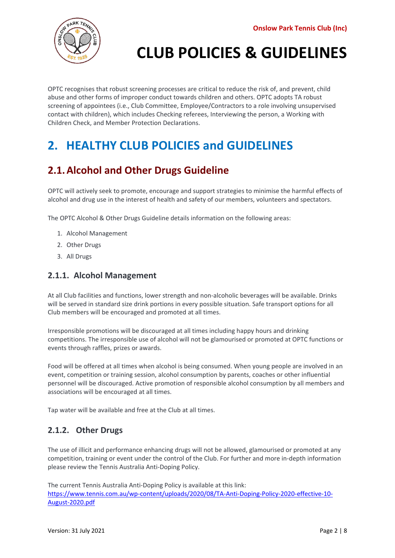

OPTC recognises that robust screening processes are critical to reduce the risk of, and prevent, child abuse and other forms of improper conduct towards children and others. OPTC adopts TA robust screening of appointees (i.e., Club Committee, Employee/Contractors to a role involving unsupervised contact with children), which includes Checking referees, Interviewing the person, a Working with Children Check, and Member Protection Declarations.

## **2. HEALTHY CLUB POLICIES and GUIDELINES**

### **2.1.Alcohol and Other Drugs Guideline**

OPTC will actively seek to promote, encourage and support strategies to minimise the harmful effects of alcohol and drug use in the interest of health and safety of our members, volunteers and spectators.

The OPTC Alcohol & Other Drugs Guideline details information on the following areas:

- 1. Alcohol Management
- 2. Other Drugs
- 3. All Drugs

#### **2.1.1. Alcohol Management**

At all Club facilities and functions, lower strength and non-alcoholic beverages will be available. Drinks will be served in standard size drink portions in every possible situation. Safe transport options for all Club members will be encouraged and promoted at all times.

Irresponsible promotions will be discouraged at all times including happy hours and drinking competitions. The irresponsible use of alcohol will not be glamourised or promoted at OPTC functions or events through raffles, prizes or awards.

Food will be offered at all times when alcohol is being consumed. When young people are involved in an event, competition or training session, alcohol consumption by parents, coaches or other influential personnel will be discouraged. Active promotion of responsible alcohol consumption by all members and associations will be encouraged at all times.

Tap water will be available and free at the Club at all times.

#### **2.1.2. Other Drugs**

The use of illicit and performance enhancing drugs will not be allowed, glamourised or promoted at any competition, training or event under the control of the Club. For further and more in-depth information please review the Tennis Australia Anti-Doping Policy.

The current Tennis Australia Anti-Doping Policy is available at this link: [https://www.tennis.com.au/wp-content/uploads/2020/08/TA-Anti-Doping-Policy-2020-effective-10-](https://www.tennis.com.au/wp-content/uploads/2020/08/TA-Anti-Doping-Policy-2020-effective-10-August-2020.pdf) [August-2020.pdf](https://www.tennis.com.au/wp-content/uploads/2020/08/TA-Anti-Doping-Policy-2020-effective-10-August-2020.pdf)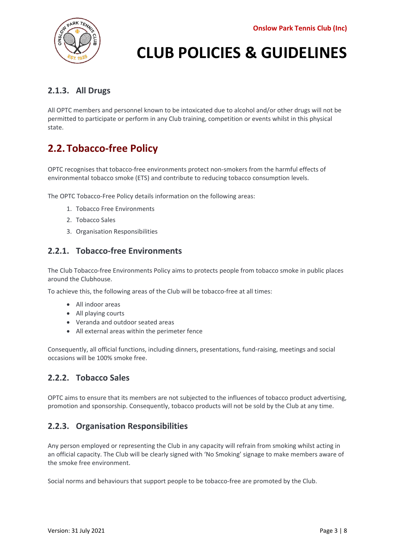

### **2.1.3. All Drugs**

All OPTC members and personnel known to be intoxicated due to alcohol and/or other drugs will not be permitted to participate or perform in any Club training, competition or events whilst in this physical state.

### **2.2. Tobacco-free Policy**

OPTC recognises that tobacco-free environments protect non-smokers from the harmful effects of environmental tobacco smoke (ETS) and contribute to reducing tobacco consumption levels.

The OPTC Tobacco-Free Policy details information on the following areas:

- 1. Tobacco Free Environments
- 2. Tobacco Sales
- 3. Organisation Responsibilities

#### **2.2.1. Tobacco-free Environments**

The Club Tobacco-free Environments Policy aims to protects people from tobacco smoke in public places around the Clubhouse.

To achieve this, the following areas of the Club will be tobacco-free at all times:

- All indoor areas
- All playing courts
- Veranda and outdoor seated areas
- All external areas within the perimeter fence

Consequently, all official functions, including dinners, presentations, fund-raising, meetings and social occasions will be 100% smoke free.

#### **2.2.2. Tobacco Sales**

OPTC aims to ensure that its members are not subjected to the influences of tobacco product advertising, promotion and sponsorship. Consequently, tobacco products will not be sold by the Club at any time.

#### **2.2.3. Organisation Responsibilities**

Any person employed or representing the Club in any capacity will refrain from smoking whilst acting in an official capacity. The Club will be clearly signed with 'No Smoking' signage to make members aware of the smoke free environment.

Social norms and behaviours that support people to be tobacco-free are promoted by the Club.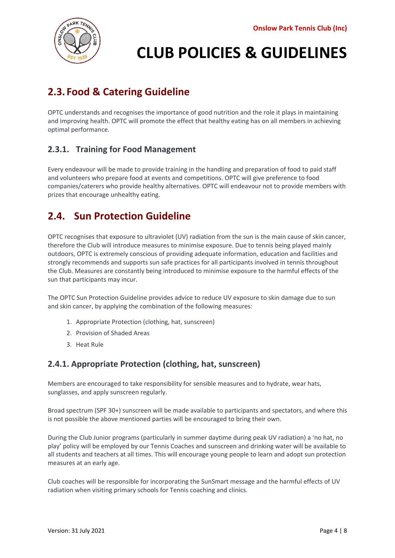

## **2.3. Food & Catering Guideline**

OPTC understands and recognises the importance of good nutrition and the role it plays in maintaining and improving health. OPTC will promote the effect that healthy eating has on all members in achieving optimal performance.

#### **2.3.1. Training for Food Management**

Every endeavour will be made to provide training in the handling and preparation of food to paid staff and volunteers who prepare food at events and competitions. OPTC will give preference to food companies/caterers who provide healthy alternatives. OPTC will endeavour not to provide members with prizes that encourage unhealthy eating.

### **2.4. Sun Protection Guideline**

OPTC recognises that exposure to ultraviolet (UV) radiation from the sun is the main cause of skin cancer, therefore the Club will introduce measures to minimise exposure. Due to tennis being played mainly outdoors, OPTC is extremely conscious of providing adequate information, education and facilities and strongly recommends and supports sun safe practices for all participants involved in tennis throughout the Club. Measures are constantly being introduced to minimise exposure to the harmful effects of the sun that participants may incur.

The OPTC Sun Protection Guideline provides advice to reduce UV exposure to skin damage due to sun and skin cancer, by applying the combination of the following measures:

- 1. Appropriate Protection (clothing, hat, sunscreen)
- 2. Provision of Shaded Areas
- 3. Heat Rule

#### **2.4.1. Appropriate Protection (clothing, hat, sunscreen)**

Members are encouraged to take responsibility for sensible measures and to hydrate, wear hats, sunglasses, and apply sunscreen regularly.

Broad spectrum (SPF 30+) sunscreen will be made available to participants and spectators, and where this is not possible the above mentioned parties will be encouraged to bring their own.

During the Club Junior programs (particularly in summer daytime during peak UV radiation) a 'no hat, no play' policy will be employed by our Tennis Coaches and sunscreen and drinking water will be available to all students and teachers at all times. This will encourage young people to learn and adopt sun protection measures at an early age.

Club coaches will be responsible for incorporating the SunSmart message and the harmful effects of UV radiation when visiting primary schools for Tennis coaching and clinics.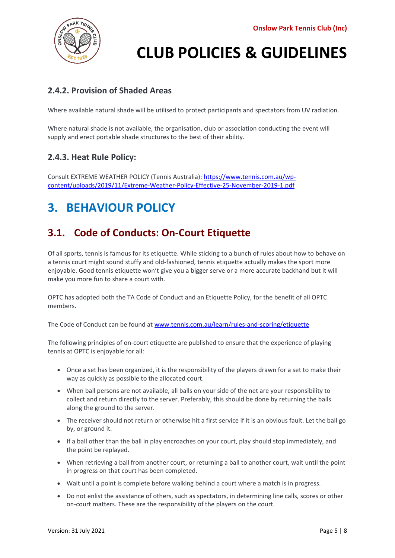

#### **2.4.2. Provision of Shaded Areas**

Where available natural shade will be utilised to protect participants and spectators from UV radiation.

Where natural shade is not available, the organisation, club or association conducting the event will supply and erect portable shade structures to the best of their ability.

#### **2.4.3. Heat Rule Policy:**

Consult EXTREME WEATHER POLICY (Tennis Australia): [https://www.tennis.com.au/wp](https://www.tennis.com.au/wp-content/uploads/2019/11/Extreme-Weather-Policy-Effective-25-November-2019-1.pdf)[content/uploads/2019/11/Extreme-Weather-Policy-Effective-25-November-2019-1.pdf](https://www.tennis.com.au/wp-content/uploads/2019/11/Extreme-Weather-Policy-Effective-25-November-2019-1.pdf)

## **3. BEHAVIOUR POLICY**

### **3.1. Code of Conducts: On-Court Etiquette**

Of all sports, tennis is famous for its etiquette. While sticking to a bunch of rules about how to behave on a tennis court might sound stuffy and old-fashioned, tennis etiquette actually makes the sport more enjoyable. Good tennis etiquette won't give you a bigger serve or a more accurate backhand but it will make you more fun to share a court with.

OPTC has adopted both the TA Code of Conduct and an Etiquette Policy, for the benefit of all OPTC members.

The Code of Conduct can be found at [www.tennis.com.au/learn/rules-and-scoring/etiquette](http://www.tennis.com.au/learn/rules-and-scoring/etiquette)

The following principles of on-court etiquette are published to ensure that the experience of playing tennis at OPTC is enjoyable for all:

- Once a set has been organized, it is the responsibility of the players drawn for a set to make their way as quickly as possible to the allocated court.
- When ball persons are not available, all balls on your side of the net are your responsibility to collect and return directly to the server. Preferably, this should be done by returning the balls along the ground to the server.
- The receiver should not return or otherwise hit a first service if it is an obvious fault. Let the ball go by, or ground it.
- If a ball other than the ball in play encroaches on your court, play should stop immediately, and the point be replayed.
- When retrieving a ball from another court, or returning a ball to another court, wait until the point in progress on that court has been completed.
- Wait until a point is complete before walking behind a court where a match is in progress.
- Do not enlist the assistance of others, such as spectators, in determining line calls, scores or other on-court matters. These are the responsibility of the players on the court.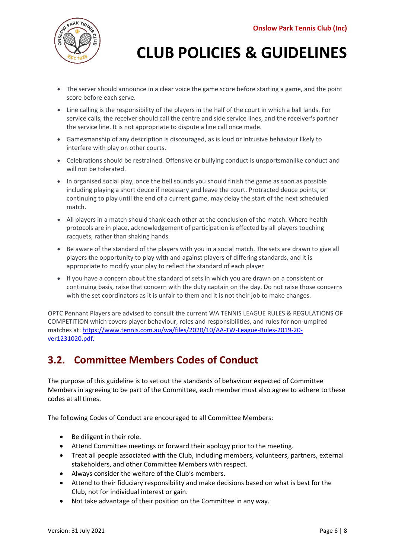

- The server should announce in a clear voice the game score before starting a game, and the point score before each serve.
- Line calling is the responsibility of the players in the half of the court in which a ball lands. For service calls, the receiver should call the centre and side service lines, and the receiver's partner the service line. It is not appropriate to dispute a line call once made.
- Gamesmanship of any description is discouraged, as is loud or intrusive behaviour likely to interfere with play on other courts.
- Celebrations should be restrained. Offensive or bullying conduct is unsportsmanlike conduct and will not be tolerated.
- In organised social play, once the bell sounds you should finish the game as soon as possible including playing a short deuce if necessary and leave the court. Protracted deuce points, or continuing to play until the end of a current game, may delay the start of the next scheduled match.
- All players in a match should thank each other at the conclusion of the match. Where health protocols are in place, acknowledgement of participation is effected by all players touching racquets, rather than shaking hands.
- Be aware of the standard of the players with you in a social match. The sets are drawn to give all players the opportunity to play with and against players of differing standards, and it is appropriate to modify your play to reflect the standard of each player
- If you have a concern about the standard of sets in which you are drawn on a consistent or continuing basis, raise that concern with the duty captain on the day. Do not raise those concerns with the set coordinators as it is unfair to them and it is not their job to make changes.

OPTC Pennant Players are advised to consult the current WA TENNIS LEAGUE RULES & REGULATIONS OF COMPETITION which covers player behaviour, roles and responsibilities, and rules for non-umpired matches at: [https://www.tennis.com.au/wa/files/2020/10/AA-TW-League-Rules-2019-20](https://www.tennis.com.au/wa/files/2020/10/AA-TW-League-Rules-2019-20-ver1231020.pdf) [ver1231020.pdf.](https://www.tennis.com.au/wa/files/2020/10/AA-TW-League-Rules-2019-20-ver1231020.pdf)

### **3.2. Committee Members Codes of Conduct**

The purpose of this guideline is to set out the standards of behaviour expected of Committee Members in agreeing to be part of the Committee, each member must also agree to adhere to these codes at all times.

The following Codes of Conduct are encouraged to all Committee Members:

- Be diligent in their role.
- Attend Committee meetings or forward their apology prior to the meeting.
- Treat all people associated with the Club, including members, volunteers, partners, external stakeholders, and other Committee Members with respect.
- Always consider the welfare of the Club's members.
- Attend to their fiduciary responsibility and make decisions based on what is best for the Club, not for individual interest or gain.
- Not take advantage of their position on the Committee in any way.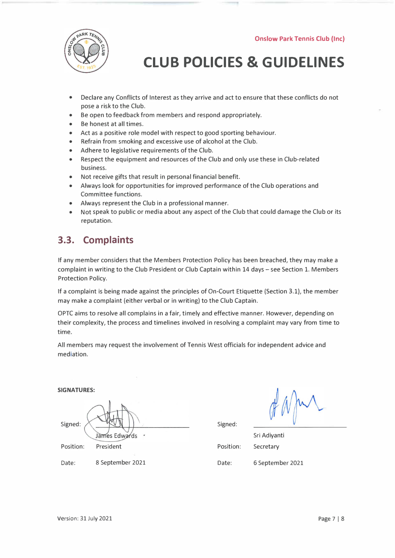

- Declare any Conflicts of Interest as they arrive and act to ensure that these conflicts do not pose a risk to the Club.
- Be open to feedback from members and respond appropriately.
- Be honest at all times.
- Act as a positive role model with respect to good sporting behaviour.
- Refrain from smoking and excessive use of alcohol at the Club.
- Adhere to legislative requirements of the Club.
- Respect the equipment and resources of the Club and only use these in Club-related business.
- Not receive gifts that result in personal financial benefit.
- Always look for opportunities for improved performance of the Club operations and Committee functions.
- Always represent the Club in a professional manner.
- Not speak to public or media about any aspect of the Club that could damage the Club or its reputation.

### **3.3. Complaints**

If any member considers that the Members Protection Policy has been breached, they may make a complaint in writing to the Club President or Club Captain within 14 days - see Section 1. Members Protection Policy.

If a complaint is being made against the principles of On-Court Etiquette (Section 3.1), the member may make a complaint (either verbal or in writing) to the Club Captain.

OPTC aims to resolve all complains in a fair, timely and effective manner. However, depending on their complexity, the process and timelines involved in resolving a complaint may vary from time to time.

All members may request the involvement of Tennis West officials for independent advice and mediation.

**SIGNATURES:**  Signed: James Edwards  $\tilde{\phantom{a}}$ Position: President

Date: 8 September 2021

Position: Date: Sri Adiyanti Secretary 6 September 2021

Signed: